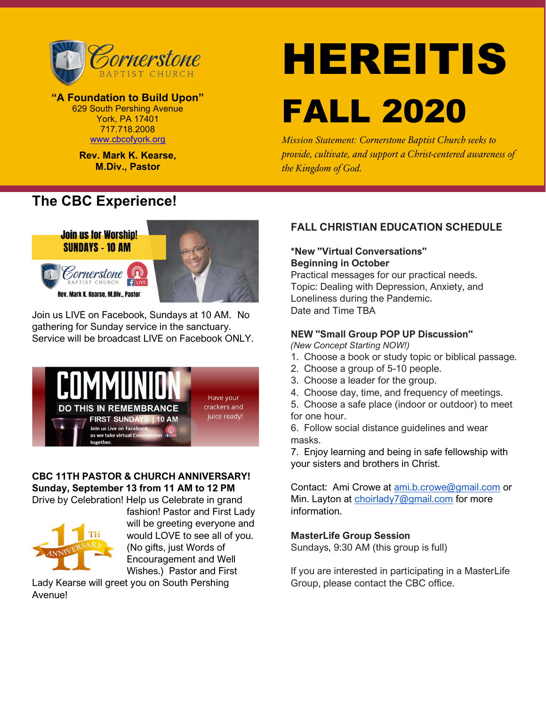

"A Foundation to Build Upon" 629 South Pershing Avenue York, PA 17401 717.718.2008 www.cbcofyork.org

> Rev. Mark K. Kearse, M.Div., Pastor

# The CBC Experience!



Join us LIVE on Facebook, Sundays at 10 AM. No gathering for Sunday service in the sanctuary. Service will be broadcast LIVE on Facebook ONLY.



## CBC 11TH PASTOR & CHURCH ANNIVERSARY! Sunday, September 13 from 11 AM to 12 PM

Drive by Celebration! Help us Celebrate in grand



fashion! Pastor and First Lady will be greeting everyone and would LOVE to see all of you. (No gifts, just Words of Encouragement and Well Wishes.) Pastor and First

Lady Kearse will greet you on South Pershing Avenue!

# HEREITIS FALL 2020

Mission Statement: Cornerstone Baptist Church seeks to provide, cultivate, and support a Christ-centered awareness of the Kingdom of God.

## FALL CHRISTIAN EDUCATION SCHEDULE

## \*New "Virtual Conversations" Beginning in October

Practical messages for our practical needs. Topic: Dealing with Depression, Anxiety, and Loneliness during the Pandemic. Date and Time TBA

## NEW "Small Group POP UP Discussion"

(New Concept Starting NOW!)

- 1. Choose a book or study topic or biblical passage.
- 2. Choose a group of 5-10 people.
- 3. Choose a leader for the group.
- 4. Choose day, time, and frequency of meetings.
- 5. Choose a safe place (indoor or outdoor) to meet
- for one hour.

6. Follow social distance guidelines and wear masks.

7. Enjoy learning and being in safe fellowship with your sisters and brothers in Christ.

Contact: Ami Crowe at ami.b.crowe@gmail.com or Min. Layton at choirlady7@gmail.com for more information.

#### MasterLife Group Session

Sundays, 9:30 AM (this group is full)

If you are interested in participating in a MasterLife Group, please contact the CBC office.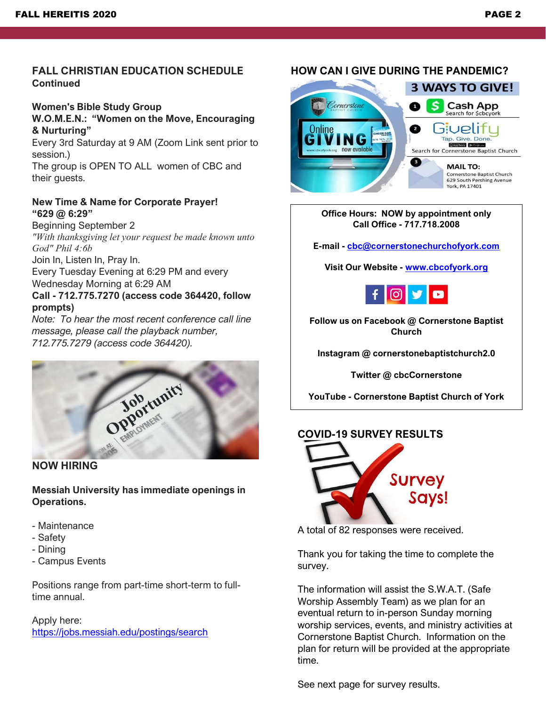## FALL CHRISTIAN EDUCATION SCHEDULE **Continued**

# Women's Bible Study Group

#### W.O.M.E.N.: "Women on the Move, Encouraging & Nurturing"

Every 3rd Saturday at 9 AM (Zoom Link sent prior to session.)

The group is OPEN TO ALL women of CBC and their guests.

## New Time & Name for Corporate Prayer! "629 @ 6:29"

Beginning September 2 "With thanksgiving let your request be made known unto God" Phil 4:6b

Join In, Listen In, Pray In.

Every Tuesday Evening at 6:29 PM and every Wednesday Morning at 6:29 AM

## Call - 712.775.7270 (access code 364420, follow prompts)

Note: To hear the most recent conference call line message, please call the playback number, 712.775.7279 (access code 364420).



## NOW HIRING

Messiah University has immediate openings in Operations.

- Maintenance
- Safety
- Dining
- Campus Events

Positions range from part-time short-term to fulltime annual.

Apply here: https://jobs.messiah.edu/postings/search

# HOW CAN I GIVE DURING THE PANDEMIC?



#### Office Hours: NOW by appointment only Call Office - 717.718.2008

E-mail - cbc@cornerstonechurchofyork.com

Visit Our Website - www.cbcofyork.org



Follow us on Facebook @ Cornerstone Baptist Church

Instagram @ cornerstonebaptistchurch2.0

Twitter @ cbcCornerstone

YouTube - Cornerstone Baptist Church of York

## COVID-19 SURVEY RESULTS



A total of 82 responses were received.

Thank you for taking the time to complete the survey.

The information will assist the S.W.A.T. (Safe Worship Assembly Team) as we plan for an eventual return to in-person Sunday morning worship services, events, and ministry activities at Cornerstone Baptist Church. Information on the plan for return will be provided at the appropriate time.

See next page for survey results.